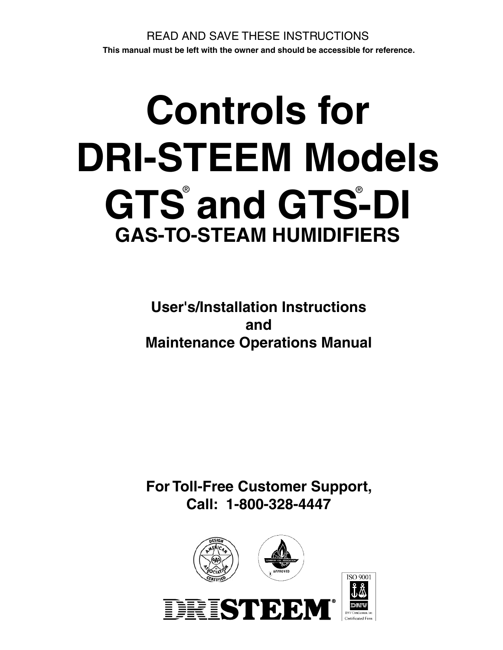# **Controls for DRI-STEEM Models**  GTS<sup>®</sup> and GTS-DI **GAS-TO-STEAM HUMIDIFIERS**

**User's/Installation Instructions and Maintenance Operations Manual**

**For Toll-Free Customer Support, Call: 1-800-328-4447**

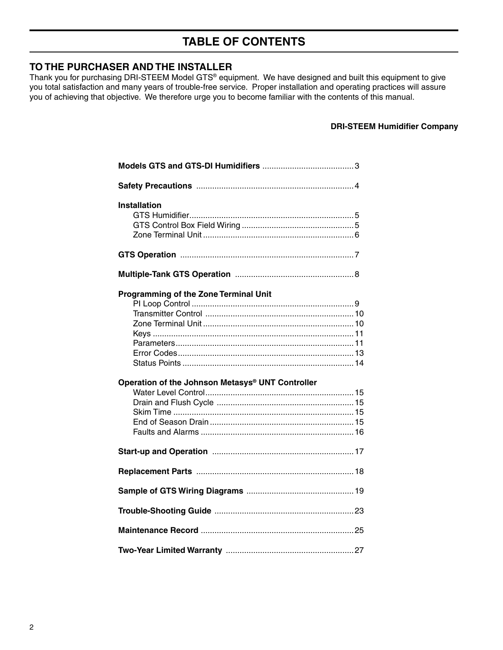# **TABLE OF CONTENTS**

#### **TO THE PURCHASER AND THE INSTALLER**

Thank you for purchasing DRI-STEEM Model GTS® equipment. We have designed and built this equipment to give you total satisfaction and many years of trouble-free service. Proper installation and operating practices will assure you of achieving that objective. We therefore urge you to become familiar with the contents of this manual.

#### **DRI-STEEM Humidifier Company**

| <b>Installation</b>                              |
|--------------------------------------------------|
|                                                  |
|                                                  |
| <b>Programming of the Zone Terminal Unit</b>     |
| Operation of the Johnson Metasys® UNT Controller |
|                                                  |
|                                                  |
|                                                  |
|                                                  |
|                                                  |
|                                                  |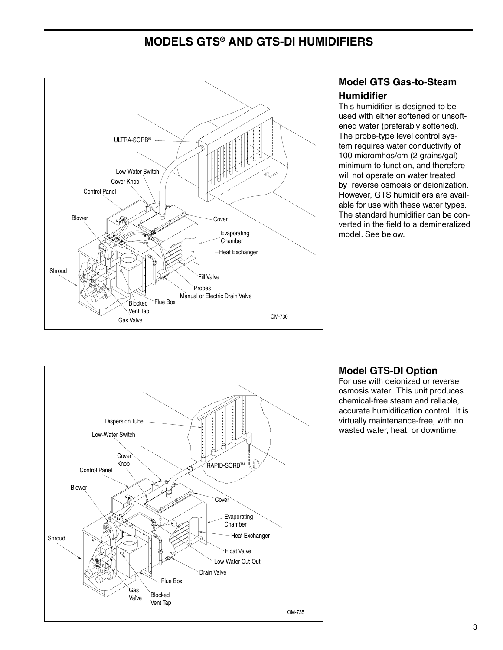# **MODELS GTS® AND GTS-DI HUMIDIFIERS**



## **Model GTS Gas-to-Steam Humidifier**

This humidifier is designed to be used with either softened or unsoftened water (preferably softened). The probe-type level control system requires water conductivity of 100 micromhos/cm (2 grains/gal) minimum to function, and therefore will not operate on water treated by reverse osmosis or deionization. However, GTS humidifiers are available for use with these water types. The standard humidifier can be converted in the field to a demineralized model. See below.



## **Model GTS-DI Option**

For use with deionized or reverse osmosis water. This unit produces chemical-free steam and reliable, accurate humidification control. It is virtually maintenance-free, with no wasted water, heat, or downtime.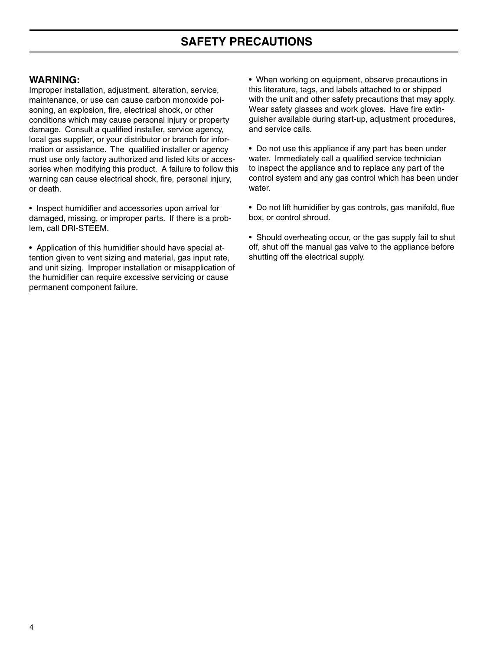#### **WARNING:**

Improper installation, adjustment, alteration, service, maintenance, or use can cause carbon monoxide poisoning, an explosion, fire, electrical shock, or other conditions which may cause personal injury or property damage. Consult a qualified installer, service agency, local gas supplier, or your distributor or branch for information or assistance. The qualified installer or agency must use only factory authorized and listed kits or accessories when modifying this product. A failure to follow this warning can cause electrical shock, fire, personal injury, or death.

• Inspect humidifier and accessories upon arrival for damaged, missing, or improper parts. If there is a problem, call DRI-STEEM.

• Application of this humidifier should have special attention given to vent sizing and material, gas input rate, and unit sizing. Improper installation or misapplication of the humidifier can require excessive servicing or cause permanent component failure.

• When working on equipment, observe precautions in this literature, tags, and labels attached to or shipped with the unit and other safety precautions that may apply. Wear safety glasses and work gloves. Have fire extinguisher available during start-up, adjustment procedures, and service calls.

• Do not use this appliance if any part has been under water. Immediately call a qualified service technician to inspect the appliance and to replace any part of the control system and any gas control which has been under water.

• Do not lift humidifier by gas controls, gas manifold, flue box, or control shroud.

• Should overheating occur, or the gas supply fail to shut off, shut off the manual gas valve to the appliance before shutting off the electrical supply.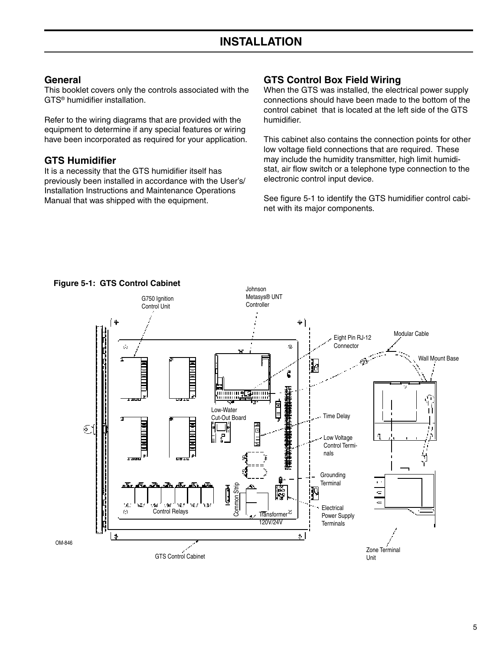#### **General**

This booklet covers only the controls associated with the GTS® humidifier installation.

Refer to the wiring diagrams that are provided with the equipment to determine if any special features or wiring have been incorporated as required for your application.

#### **GTS Humidifier**

It is a necessity that the GTS humidifier itself has previously been installed in accordance with the User's/ Installation Instructions and Maintenance Operations Manual that was shipped with the equipment.

## **GTS Control Box Field Wiring**

When the GTS was installed, the electrical power supply connections should have been made to the bottom of the control cabinet that is located at the left side of the GTS humidifier.

This cabinet also contains the connection points for other low voltage field connections that are required. These may include the humidity transmitter, high limit humidistat, air flow switch or a telephone type connection to the electronic control input device.

See figure 5-1 to identify the GTS humidifier control cabinet with its major components.



#### **Figure 5-1: GTS Control Cabinet**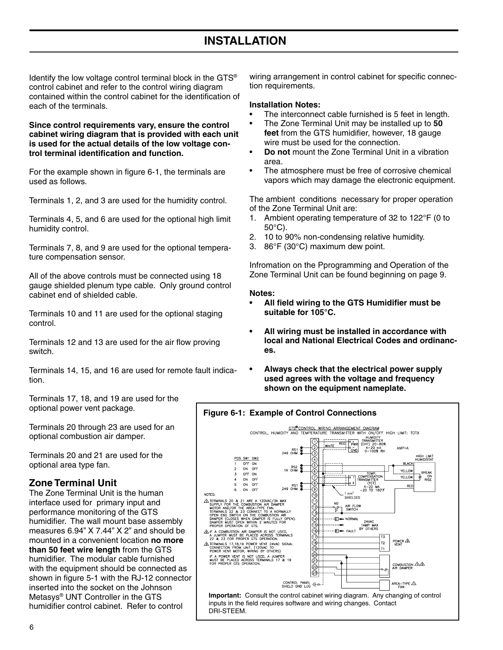# **INSTALLATION**

Identify the low voltage control terminal block in the GTS® control cabinet and refer to the control wiring diagram contained within the control cabinet for the identification of each of the terminals.

**Since control requirements vary, ensure the control cabinet wiring diagram that is provided with each unit is used for the actual details of the low voltage control terminal identification and function.**

For the example shown in figure 6-1, the terminals are used as follows.

Terminals 1, 2, and 3 are used for the humidity control.

Terminals 4, 5, and 6 are used for the optional high limit humidity control.

Terminals 7, 8, and 9 are used for the optional temperature compensation sensor.

All of the above controls must be connected using 18 gauge shielded plenum type cable. Only ground control cabinet end of shielded cable.

Terminals 10 and 11 are used for the optional staging control.

Terminals 12 and 13 are used for the air flow proving switch.

Terminals 14, 15, and 16 are used for remote fault indication.

Terminals 17, 18, and 19 are used for the optional power vent package.

Terminals 20 through 23 are used for an optional combustion air damper.

Terminals 20 and 21 are used for the optional area type fan.

#### **Zone Terminal Unit**

The Zone Terminal Unit is the human interface used for primary input and performance monitoring of the GTS humidifier. The wall mount base assembly measures 6.94" X 7.44" X 2" and should be mounted in a convenient location **no more than 50 feet wire length** from the GTS humidifier. The modular cable furnished with the equipment should be connected as shown in figure 5-1 with the RJ-12 connector inserted into the socket on the Johnson Metasys® UNT Controller in the GTS humidifier control cabinet. Refer to control

wiring arrangement in control cabinet for specific connection requirements.

#### **Installation Notes:**

- The interconnect cable furnished is 5 feet in length.
- The Zone Terminal Unit may be installed up to **50 feet** from the GTS humidifier, however, 18 gauge wire must be used for the connection.
- **Do not** mount the Zone Terminal Unit in a vibration area.
- The atmosphere must be free of corrosive chemical vapors which may damage the electronic equipment.

The ambient conditions necessary for proper operation of the Zone Terminal Unit are:

- 1. Ambient operating temperature of 32 to 122°F (0 to 50°C).
- 2. 10 to 90% non-condensing relative humidity.
- 3. 86°F (30°C) maximum dew point.

Infromation on the Pprogramming and Operation of the Zone Terminal Unit can be found beginning on page 9.

#### **Notes:**

- **All field wiring to the GTS Humidifier must be suitable for 105°C.**
- **All wiring must be installed in accordance with local and National Electrical Codes and ordinances.**
- **Always check that the electrical power supply used agrees with the voltage and frequency shown on the equipment nameplate.**

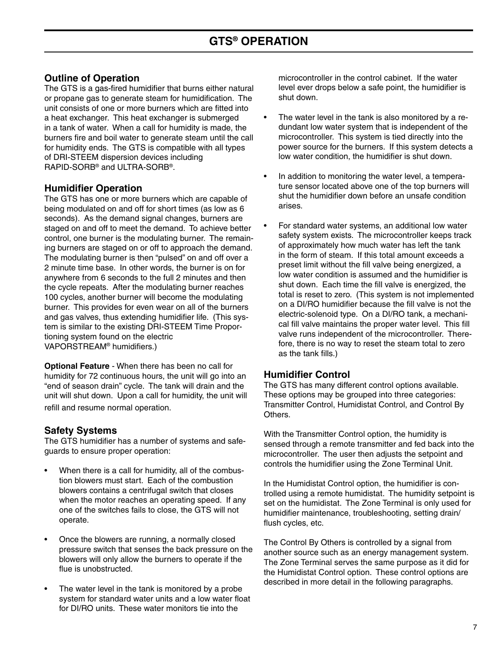## **Outline of Operation**

The GTS is a gas-fired humidifier that burns either natural or propane gas to generate steam for humidification. The unit consists of one or more burners which are fitted into a heat exchanger. This heat exchanger is submerged in a tank of water. When a call for humidity is made, the burners fire and boil water to generate steam until the call for humidity ends. The GTS is compatible with all types of DRI-STEEM dispersion devices including RAPID-SORB® and ULTRA-SORB®.

#### **Humidifier Operation**

The GTS has one or more burners which are capable of being modulated on and off for short times (as low as 6 seconds). As the demand signal changes, burners are staged on and off to meet the demand. To achieve better control, one burner is the modulating burner. The remaining burners are staged on or off to approach the demand. The modulating burner is then "pulsed" on and off over a 2 minute time base. In other words, the burner is on for anywhere from 6 seconds to the full 2 minutes and then the cycle repeats. After the modulating burner reaches 100 cycles, another burner will become the modulating burner. This provides for even wear on all of the burners and gas valves, thus extending humidifier life. (This system is similar to the existing DRI-STEEM Time Proportioning system found on the electric VAPORSTREAM® humidifiers.)

**Optional Feature** - When there has been no call for humidity for 72 continuous hours, the unit will go into an "end of season drain" cycle. The tank will drain and the unit will shut down. Upon a call for humidity, the unit will refill and resume normal operation.

#### **Safety Systems**

The GTS humidifier has a number of systems and safeguards to ensure proper operation:

- When there is a call for humidity, all of the combustion blowers must start. Each of the combustion blowers contains a centrifugal switch that closes when the motor reaches an operating speed. If any one of the switches fails to close, the GTS will not operate.
- Once the blowers are running, a normally closed pressure switch that senses the back pressure on the blowers will only allow the burners to operate if the flue is unobstructed.
- The water level in the tank is monitored by a probe system for standard water units and a low water float for DI/RO units. These water monitors tie into the

microcontroller in the control cabinet. If the water level ever drops below a safe point, the humidifier is shut down.

- The water level in the tank is also monitored by a redundant low water system that is independent of the microcontroller. This system is tied directly into the power source for the burners. If this system detects a low water condition, the humidifier is shut down.
- In addition to monitoring the water level, a temperature sensor located above one of the top burners will shut the humidifier down before an unsafe condition arises.
- For standard water systems, an additional low water safety system exists. The microcontroller keeps track of approximately how much water has left the tank in the form of steam. If this total amount exceeds a preset limit without the fill valve being energized, a low water condition is assumed and the humidifier is shut down. Each time the fill valve is energized, the total is reset to zero. (This system is not implemented on a DI/RO humidifier because the fill valve is not the electric-solenoid type. On a DI/RO tank, a mechanical fill valve maintains the proper water level. This fill valve runs independent of the microcontroller. Therefore, there is no way to reset the steam total to zero as the tank fills.)

## **Humidifier Control**

The GTS has many different control options available. These options may be grouped into three categories: Transmitter Control, Humidistat Control, and Control By **Others** 

With the Transmitter Control option, the humidity is sensed through a remote transmitter and fed back into the microcontroller. The user then adjusts the setpoint and controls the humidifier using the Zone Terminal Unit.

In the Humidistat Control option, the humidifier is controlled using a remote humidistat. The humidity setpoint is set on the humidistat. The Zone Terminal is only used for humidifier maintenance, troubleshooting, setting drain/ flush cycles, etc.

The Control By Others is controlled by a signal from another source such as an energy management system. The Zone Terminal serves the same purpose as it did for the Humidistat Control option. These control options are described in more detail in the following paragraphs.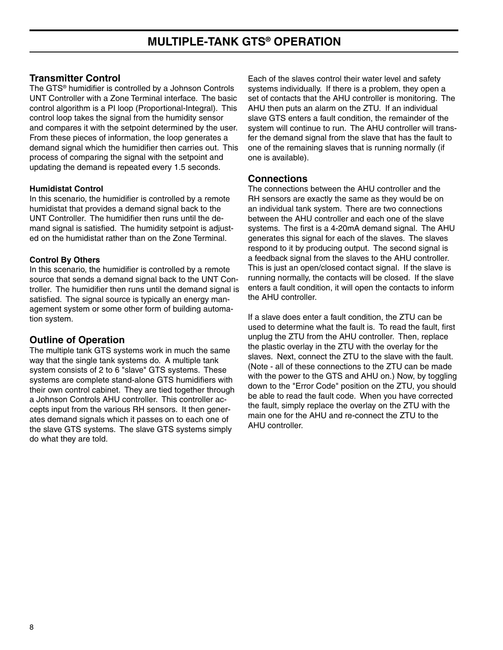#### **Transmitter Control**

The GTS® humidifier is controlled by a Johnson Controls UNT Controller with a Zone Terminal interface. The basic control algorithm is a PI loop (Proportional-Integral). This control loop takes the signal from the humidity sensor and compares it with the setpoint determined by the user. From these pieces of information, the loop generates a demand signal which the humidifier then carries out. This process of comparing the signal with the setpoint and updating the demand is repeated every 1.5 seconds.

#### **Humidistat Control**

In this scenario, the humidifier is controlled by a remote humidistat that provides a demand signal back to the UNT Controller. The humidifier then runs until the demand signal is satisfied. The humidity setpoint is adjusted on the humidistat rather than on the Zone Terminal.

#### **Control By Others**

In this scenario, the humidifier is controlled by a remote source that sends a demand signal back to the UNT Controller. The humidifier then runs until the demand signal is satisfied. The signal source is typically an energy management system or some other form of building automation system.

## **Outline of Operation**

The multiple tank GTS systems work in much the same way that the single tank systems do. A multiple tank system consists of 2 to 6 "slave" GTS systems. These systems are complete stand-alone GTS humidifiers with their own control cabinet. They are tied together through a Johnson Controls AHU controller. This controller accepts input from the various RH sensors. It then generates demand signals which it passes on to each one of the slave GTS systems. The slave GTS systems simply do what they are told.

Each of the slaves control their water level and safety systems individually. If there is a problem, they open a set of contacts that the AHU controller is monitoring. The AHU then puts an alarm on the ZTU. If an individual slave GTS enters a fault condition, the remainder of the system will continue to run. The AHU controller will transfer the demand signal from the slave that has the fault to one of the remaining slaves that is running normally (if one is available).

#### **Connections**

The connections between the AHU controller and the RH sensors are exactly the same as they would be on an individual tank system. There are two connections between the AHU controller and each one of the slave systems. The first is a 4-20mA demand signal. The AHU generates this signal for each of the slaves. The slaves respond to it by producing output. The second signal is a feedback signal from the slaves to the AHU controller. This is just an open/closed contact signal. If the slave is running normally, the contacts will be closed. If the slave enters a fault condition, it will open the contacts to inform the AHU controller.

If a slave does enter a fault condition, the ZTU can be used to determine what the fault is. To read the fault, first unplug the ZTU from the AHU controller. Then, replace the plastic overlay in the ZTU with the overlay for the slaves. Next, connect the ZTU to the slave with the fault. (Note - all of these connections to the ZTU can be made with the power to the GTS and AHU on.) Now, by toggling down to the "Error Code" position on the ZTU, you should be able to read the fault code. When you have corrected the fault, simply replace the overlay on the ZTU with the main one for the AHU and re-connect the ZTU to the AHU controller.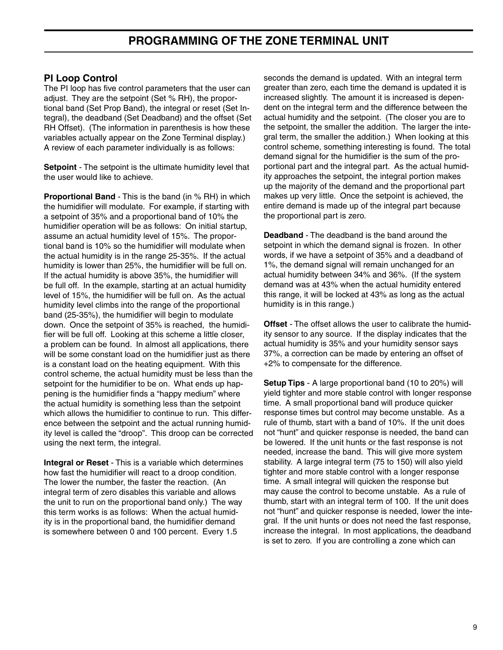## **PI Loop Control**

The PI loop has five control parameters that the user can adjust. They are the setpoint (Set % RH), the proportional band (Set Prop Band), the integral or reset (Set Integral), the deadband (Set Deadband) and the offset (Set RH Offset). (The information in parenthesis is how these variables actually appear on the Zone Terminal display.) A review of each parameter individually is as follows:

**Setpoint** - The setpoint is the ultimate humidity level that the user would like to achieve.

**Proportional Band** - This is the band (in % RH) in which the humidifier will modulate. For example, if starting with a setpoint of 35% and a proportional band of 10% the humidifier operation will be as follows: On initial startup, assume an actual humidity level of 15%. The proportional band is 10% so the humidifier will modulate when the actual humidity is in the range 25-35%. If the actual humidity is lower than 25%, the humidifier will be full on. If the actual humidity is above 35%, the humidifier will be full off. In the example, starting at an actual humidity level of 15%, the humidifier will be full on. As the actual humidity level climbs into the range of the proportional band (25-35%), the humidifier will begin to modulate down. Once the setpoint of 35% is reached, the humidifier will be full off. Looking at this scheme a little closer, a problem can be found. In almost all applications, there will be some constant load on the humidifier just as there is a constant load on the heating equipment. With this control scheme, the actual humidity must be less than the setpoint for the humidifier to be on. What ends up happening is the humidifier finds a "happy medium" where the actual humidity is something less than the setpoint which allows the humidifier to continue to run. This difference between the setpoint and the actual running humidity level is called the "droop". This droop can be corrected using the next term, the integral.

**Integral or Reset** - This is a variable which determines how fast the humidifier will react to a droop condition. The lower the number, the faster the reaction. (An integral term of zero disables this variable and allows the unit to run on the proportional band only.) The way this term works is as follows: When the actual humidity is in the proportional band, the humidifier demand is somewhere between 0 and 100 percent. Every 1.5

seconds the demand is updated. With an integral term greater than zero, each time the demand is updated it is increased slightly. The amount it is increased is dependent on the integral term and the difference between the actual humidity and the setpoint. (The closer you are to the setpoint, the smaller the addition. The larger the integral term, the smaller the addition.) When looking at this control scheme, something interesting is found. The total demand signal for the humidifier is the sum of the proportional part and the integral part. As the actual humidity approaches the setpoint, the integral portion makes up the majority of the demand and the proportional part makes up very little. Once the setpoint is achieved, the entire demand is made up of the integral part because the proportional part is zero.

**Deadband** - The deadband is the band around the setpoint in which the demand signal is frozen. In other words, if we have a setpoint of 35% and a deadband of 1%, the demand signal will remain unchanged for an actual humidity between 34% and 36%. (If the system demand was at 43% when the actual humidity entered this range, it will be locked at 43% as long as the actual humidity is in this range.)

**Offset** - The offset allows the user to calibrate the humidity sensor to any source. If the display indicates that the actual humidity is 35% and your humidity sensor says 37%, a correction can be made by entering an offset of +2% to compensate for the difference.

**Setup Tips** - A large proportional band (10 to 20%) will yield tighter and more stable control with longer response time. A small proportional band will produce quicker response times but control may become unstable. As a rule of thumb, start with a band of 10%. If the unit does not "hunt" and quicker response is needed, the band can be lowered. If the unit hunts or the fast response is not needed, increase the band. This will give more system stability. A large integral term (75 to 150) will also yield tighter and more stable control with a longer response time. A small integral will quicken the response but may cause the control to become unstable. As a rule of thumb, start with an integral term of 100. If the unit does not "hunt" and quicker response is needed, lower the integral. If the unit hunts or does not need the fast response, increase the integral. In most applications, the deadband is set to zero. If you are controlling a zone which can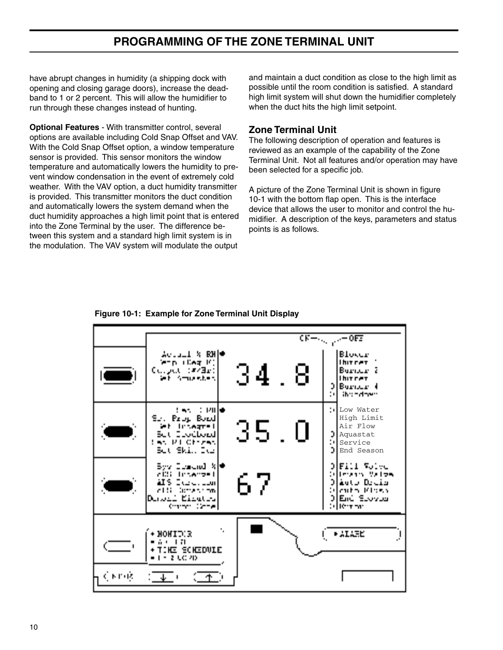# **PROGRAMMING OF THE ZONE TERMINAL UNIT**

have abrupt changes in humidity (a shipping dock with opening and closing garage doors), increase the deadband to 1 or 2 percent. This will allow the humidifier to run through these changes instead of hunting.

**Optional Features - With transmitter control, several** options are available including Cold Snap Offset and VAV. With the Cold Snap Offset option, a window temperature sensor is provided. This sensor monitors the window temperature and automatically lowers the humidity to prevent window condensation in the event of extremely cold weather. With the VAV option, a duct humidity transmitter is provided. This transmitter monitors the duct condition and automatically lowers the system demand when the duct humidity approaches a high limit point that is entered into the Zone Terminal by the user. The difference between this system and a standard high limit system is in the modulation. The VAV system will modulate the output

and maintain a duct condition as close to the high limit as possible until the room condition is satisfied. A standard high limit system will shut down the humidifier completely when the duct hits the high limit setpoint.

#### **Zone Terminal Unit**

The following description of operation and features is reviewed as an example of the capability of the Zone Terminal Unit. Not all features and/or operation may have been selected for a specific job.

A picture of the Zone Terminal Unit is shown in figure 10-1 with the bottom flap open. This is the interface device that allows the user to monitor and control the humidifier. A description of the keys, parameters and status points is as follows.

**Figure 10-1: Example for Zone Terminal Unit Display**

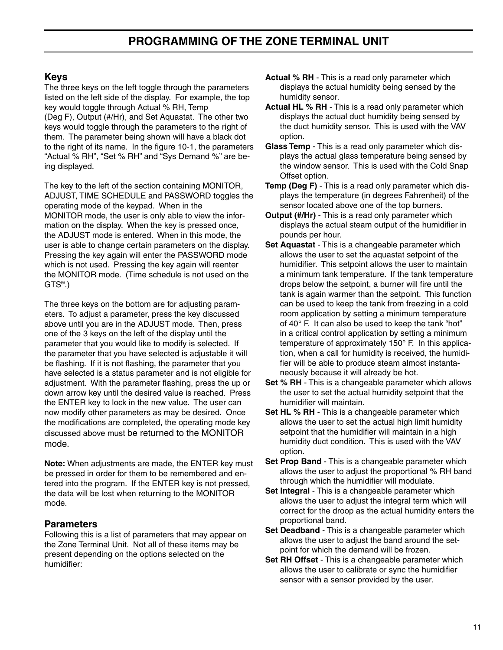## **Keys**

The three keys on the left toggle through the parameters listed on the left side of the display. For example, the top key would toggle through Actual % RH, Temp (Deg F), Output (#/Hr), and Set Aquastat. The other two keys would toggle through the parameters to the right of them. The parameter being shown will have a black dot to the right of its name. In the figure 10-1, the parameters "Actual % RH", "Set % RH" and "Sys Demand %" are being displayed.

The key to the left of the section containing MONITOR, ADJUST, TIME SCHEDULE and PASSWORD toggles the operating mode of the keypad. When in the MONITOR mode, the user is only able to view the information on the display. When the key is pressed once, the ADJUST mode is entered. When in this mode, the user is able to change certain parameters on the display. Pressing the key again will enter the PASSWORD mode which is not used. Pressing the key again will reenter the MONITOR mode. (Time schedule is not used on the GTS®.)

The three keys on the bottom are for adjusting parameters. To adjust a parameter, press the key discussed above until you are in the ADJUST mode. Then, press one of the 3 keys on the left of the display until the parameter that you would like to modify is selected. If the parameter that you have selected is adjustable it will be flashing. If it is not flashing, the parameter that you have selected is a status parameter and is not eligible for adjustment. With the parameter flashing, press the up or down arrow key until the desired value is reached. Press the ENTER key to lock in the new value. The user can now modify other parameters as may be desired. Once the modifications are completed, the operating mode key discussed above must be returned to the MONITOR mode.

**Note:** When adjustments are made, the ENTER key must be pressed in order for them to be remembered and entered into the program. If the ENTER key is not pressed, the data will be lost when returning to the MONITOR mode.

## **Parameters**

Following this is a list of parameters that may appear on the Zone Terminal Unit. Not all of these items may be present depending on the options selected on the humidifier:

- **Actual % RH** This is a read only parameter which displays the actual humidity being sensed by the humidity sensor.
- **Actual HL % RH** This is a read only parameter which displays the actual duct humidity being sensed by the duct humidity sensor. This is used with the VAV option.
- **Glass Temp** This is a read only parameter which displays the actual glass temperature being sensed by the window sensor. This is used with the Cold Snap Offset option.
- **Temp (Deg F)** This is a read only parameter which displays the temperature (in degrees Fahrenheit) of the sensor located above one of the top burners.
- **Output (#/Hr)** This is a read only parameter which displays the actual steam output of the humidifier in pounds per hour.
- **Set Aquastat** This is a changeable parameter which allows the user to set the aquastat setpoint of the humidifier. This setpoint allows the user to maintain a minimum tank temperature. If the tank temperature drops below the setpoint, a burner will fire until the tank is again warmer than the setpoint. This function can be used to keep the tank from freezing in a cold room application by setting a minimum temperature of 40° F. It can also be used to keep the tank "hot" in a critical control application by setting a minimum temperature of approximately 150° F. In this application, when a call for humidity is received, the humidifier will be able to produce steam almost instantaneously because it will already be hot.
- **Set % RH** This is a changeable parameter which allows the user to set the actual humidity setpoint that the humidifier will maintain.
- **Set HL % RH** This is a changeable parameter which allows the user to set the actual high limit humidity setpoint that the humidifier will maintain in a high humidity duct condition. This is used with the VAV option.
- **Set Prop Band** This is a changeable parameter which allows the user to adjust the proportional % RH band through which the humidifier will modulate.
- **Set Integral** This is a changeable parameter which allows the user to adjust the integral term which will correct for the droop as the actual humidity enters the proportional band.
- **Set Deadband** This is a changeable parameter which allows the user to adjust the band around the setpoint for which the demand will be frozen.
- **Set RH Offset** This is a changeable parameter which allows the user to calibrate or sync the humidifier sensor with a sensor provided by the user.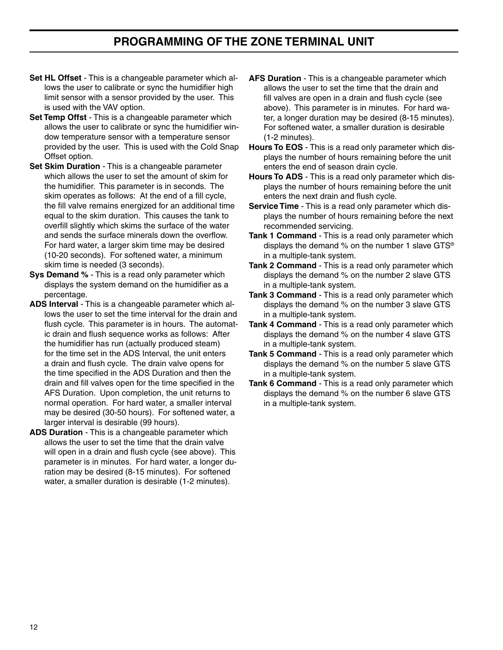## **PROGRAMMING OF THE ZONE TERMINAL UNIT**

- **Set HL Offset** This is a changeable parameter which allows the user to calibrate or sync the humidifier high limit sensor with a sensor provided by the user. This is used with the VAV option.
- **Set Temp Offst** This is a changeable parameter which allows the user to calibrate or sync the humidifier window temperature sensor with a temperature sensor provided by the user. This is used with the Cold Snap Offset option.
- **Set Skim Duration** This is a changeable parameter which allows the user to set the amount of skim for the humidifier. This parameter is in seconds. The skim operates as follows: At the end of a fill cycle, the fill valve remains energized for an additional time equal to the skim duration. This causes the tank to overfill slightly which skims the surface of the water and sends the surface minerals down the overflow. For hard water, a larger skim time may be desired (10-20 seconds). For softened water, a minimum skim time is needed (3 seconds).
- **Sys Demand %** This is a read only parameter which displays the system demand on the humidifier as a percentage.
- **ADS Interval** This is a changeable parameter which allows the user to set the time interval for the drain and flush cycle. This parameter is in hours. The automatic drain and flush sequence works as follows: After the humidifier has run (actually produced steam) for the time set in the ADS Interval, the unit enters a drain and flush cycle. The drain valve opens for the time specified in the ADS Duration and then the drain and fill valves open for the time specified in the AFS Duration. Upon completion, the unit returns to normal operation. For hard water, a smaller interval may be desired (30-50 hours). For softened water, a larger interval is desirable (99 hours).
- **ADS Duration** This is a changeable parameter which allows the user to set the time that the drain valve will open in a drain and flush cycle (see above). This parameter is in minutes. For hard water, a longer duration may be desired (8-15 minutes). For softened water, a smaller duration is desirable (1-2 minutes).
- **AFS Duration** This is a changeable parameter which allows the user to set the time that the drain and fill valves are open in a drain and flush cycle (see above). This parameter is in minutes. For hard water, a longer duration may be desired (8-15 minutes). For softened water, a smaller duration is desirable (1-2 minutes).
- **Hours To EOS** This is a read only parameter which displays the number of hours remaining before the unit enters the end of season drain cycle.
- **Hours To ADS** This is a read only parameter which displays the number of hours remaining before the unit enters the next drain and flush cycle.
- **Service Time** This is a read only parameter which displays the number of hours remaining before the next recommended servicing.
- **Tank 1 Command** This is a read only parameter which displays the demand % on the number 1 slave GTS® in a multiple-tank system.
- **Tank 2 Command** This is a read only parameter which displays the demand % on the number 2 slave GTS in a multiple-tank system.
- **Tank 3 Command** This is a read only parameter which displays the demand % on the number 3 slave GTS in a multiple-tank system.
- **Tank 4 Command** This is a read only parameter which displays the demand % on the number 4 slave GTS in a multiple-tank system.
- **Tank 5 Command** This is a read only parameter which displays the demand % on the number 5 slave GTS in a multiple-tank system.
- **Tank 6 Command** This is a read only parameter which displays the demand % on the number 6 slave GTS in a multiple-tank system.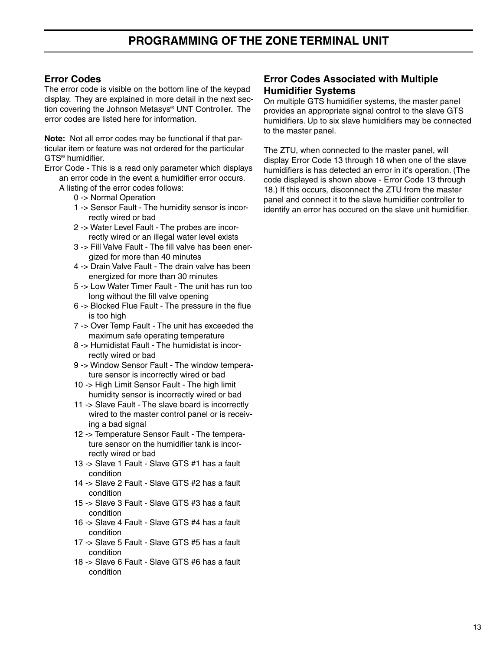## **Error Codes**

The error code is visible on the bottom line of the keypad display. They are explained in more detail in the next section covering the Johnson Metasys® UNT Controller. The error codes are listed here for information.

**Note:** Not all error codes may be functional if that particular item or feature was not ordered for the particular GTS® humidifier.

Error Code - This is a read only parameter which displays an error code in the event a humidifier error occurs.

- A listing of the error codes follows:
	- 0 -> Normal Operation
	- 1 -> Sensor Fault The humidity sensor is incorrectly wired or bad
	- 2 -> Water Level Fault The probes are incorrectly wired or an illegal water level exists
	- 3 -> Fill Valve Fault The fill valve has been energized for more than 40 minutes
	- 4 -> Drain Valve Fault The drain valve has been energized for more than 30 minutes
	- 5 -> Low Water Timer Fault The unit has run too long without the fill valve opening
	- 6 -> Blocked Flue Fault The pressure in the flue is too high
	- 7 -> Over Temp Fault The unit has exceeded the maximum safe operating temperature
	- 8 -> Humidistat Fault The humidistat is incorrectly wired or bad
	- 9 -> Window Sensor Fault The window temperature sensor is incorrectly wired or bad
	- 10 -> High Limit Sensor Fault The high limit humidity sensor is incorrectly wired or bad
	- 11 -> Slave Fault The slave board is incorrectly wired to the master control panel or is receiving a bad signal
	- 12 -> Temperature Sensor Fault The temperature sensor on the humidifier tank is incorrectly wired or bad
	- 13 -> Slave 1 Fault Slave GTS #1 has a fault condition
	- 14 -> Slave 2 Fault Slave GTS #2 has a fault condition
	- 15 -> Slave 3 Fault Slave GTS #3 has a fault condition
	- 16 -> Slave 4 Fault Slave GTS #4 has a fault condition
	- 17 -> Slave 5 Fault Slave GTS #5 has a fault condition
	- 18 -> Slave 6 Fault Slave GTS #6 has a fault condition

#### **Error Codes Associated with Multiple Humidifier Systems**

On multiple GTS humidifier systems, the master panel provides an appropriate signal control to the slave GTS humidifiers. Up to six slave humidifiers may be connected to the master panel.

The ZTU, when connected to the master panel, will display Error Code 13 through 18 when one of the slave humidifiers is has detected an error in it's operation. (The code displayed is shown above - Error Code 13 through 18.) If this occurs, disconnect the ZTU from the master panel and connect it to the slave humidifier controller to identify an error has occured on the slave unit humidifier.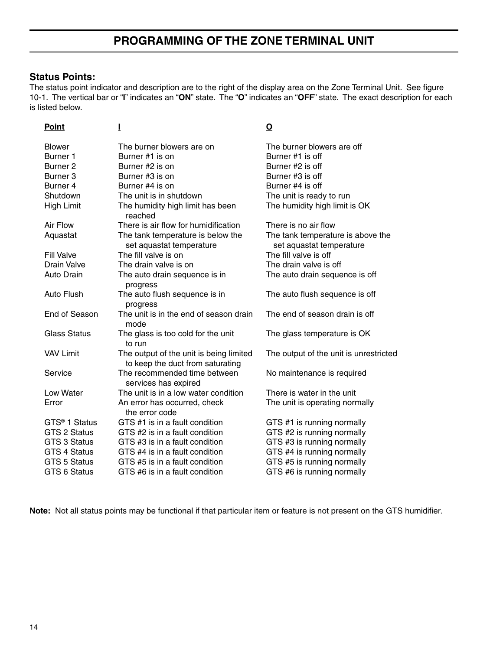## **Status Points:**

The status point indicator and description are to the right of the display area on the Zone Terminal Unit. See figure 10-1. The vertical bar or "**I**" indicates an "**ON**" state. The "**O**" indicates an "**OFF**" state. The exact description for each is listed below.

| <u>Point</u>              | Ī                                                                           | <u>୦</u>                                                      |
|---------------------------|-----------------------------------------------------------------------------|---------------------------------------------------------------|
| <b>Blower</b>             | The burner blowers are on                                                   | The burner blowers are off                                    |
| Burner <sub>1</sub>       | Burner #1 is on                                                             | Burner #1 is off                                              |
| Burner <sub>2</sub>       | Burner #2 is on                                                             | Burner #2 is off                                              |
| Burner <sub>3</sub>       | Burner #3 is on                                                             | Burner #3 is off                                              |
| Burner 4                  | Burner #4 is on                                                             | Burner #4 is off                                              |
| Shutdown                  | The unit is in shutdown                                                     | The unit is ready to run                                      |
| High Limit                | The humidity high limit has been<br>reached                                 | The humidity high limit is OK                                 |
| Air Flow                  | There is air flow for humidification                                        | There is no air flow                                          |
| Aquastat                  | The tank temperature is below the<br>set aquastat temperature               | The tank temperature is above the<br>set aquastat temperature |
| <b>Fill Valve</b>         | The fill valve is on                                                        | The fill valve is off                                         |
| <b>Drain Valve</b>        | The drain valve is on                                                       | The drain valve is off                                        |
| Auto Drain                | The auto drain sequence is in<br>progress                                   | The auto drain sequence is off                                |
| <b>Auto Flush</b>         | The auto flush sequence is in<br>progress                                   | The auto flush sequence is off                                |
| End of Season             | The unit is in the end of season drain<br>mode                              | The end of season drain is off                                |
| <b>Glass Status</b>       | The glass is too cold for the unit<br>to run                                | The glass temperature is OK                                   |
| <b>VAV Limit</b>          | The output of the unit is being limited<br>to keep the duct from saturating | The output of the unit is unrestricted                        |
| Service                   | The recommended time between<br>services has expired                        | No maintenance is required                                    |
| Low Water                 | The unit is in a low water condition                                        | There is water in the unit                                    |
| Error                     | An error has occurred, check<br>the error code                              | The unit is operating normally                                |
| GTS <sup>®</sup> 1 Status | GTS #1 is in a fault condition                                              | GTS #1 is running normally                                    |
| GTS 2 Status              | GTS #2 is in a fault condition                                              | GTS #2 is running normally                                    |
| <b>GTS 3 Status</b>       | GTS #3 is in a fault condition                                              | GTS #3 is running normally                                    |
| <b>GTS 4 Status</b>       | GTS #4 is in a fault condition                                              | GTS #4 is running normally                                    |
| <b>GTS 5 Status</b>       | GTS #5 is in a fault condition                                              | GTS #5 is running normally                                    |
| GTS 6 Status              | GTS #6 is in a fault condition                                              | GTS #6 is running normally                                    |
|                           |                                                                             |                                                               |

**Note:** Not all status points may be functional if that particular item or feature is not present on the GTS humidifier.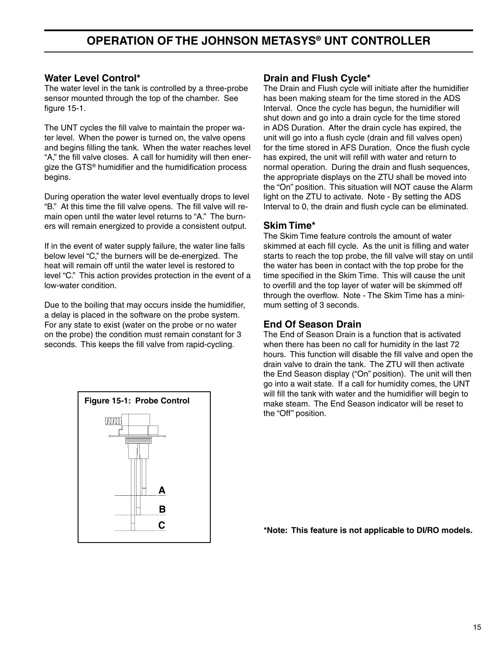## **OPERATION OF THE JOHNSON METASYS® UNT CONTROLLER**

#### **Water Level Control\***

The water level in the tank is controlled by a three-probe sensor mounted through the top of the chamber. See figure 15-1.

The UNT cycles the fill valve to maintain the proper water level. When the power is turned on, the valve opens and begins filling the tank. When the water reaches level "A," the fill valve closes. A call for humidity will then energize the GTS® humidifier and the humidification process begins.

During operation the water level eventually drops to level "B." At this time the fill valve opens. The fill valve will remain open until the water level returns to "A." The burners will remain energized to provide a consistent output.

If in the event of water supply failure, the water line falls below level "C," the burners will be de-energized. The heat will remain off until the water level is restored to level "C." This action provides protection in the event of a low-water condition.

Due to the boiling that may occurs inside the humidifier, a delay is placed in the software on the probe system. For any state to exist (water on the probe or no water on the probe) the condition must remain constant for 3 seconds. This keeps the fill valve from rapid-cycling.



#### **Drain and Flush Cycle\***

The Drain and Flush cycle will initiate after the humidifier has been making steam for the time stored in the ADS Interval. Once the cycle has begun, the humidifier will shut down and go into a drain cycle for the time stored in ADS Duration. After the drain cycle has expired, the unit will go into a flush cycle (drain and fill valves open) for the time stored in AFS Duration. Once the flush cycle has expired, the unit will refill with water and return to normal operation. During the drain and flush sequences, the appropriate displays on the ZTU shall be moved into the "On" position. This situation will NOT cause the Alarm light on the ZTU to activate. Note - By setting the ADS Interval to 0, the drain and flush cycle can be eliminated.

#### **Skim Time\***

The Skim Time feature controls the amount of water skimmed at each fill cycle. As the unit is filling and water starts to reach the top probe, the fill valve will stay on until the water has been in contact with the top probe for the time specified in the Skim Time. This will cause the unit to overfill and the top layer of water will be skimmed off through the overflow. Note - The Skim Time has a minimum setting of 3 seconds.

#### **End Of Season Drain**

The End of Season Drain is a function that is activated when there has been no call for humidity in the last 72 hours. This function will disable the fill valve and open the drain valve to drain the tank. The ZTU will then activate the End Season display ("On" position). The unit will then go into a wait state. If a call for humidity comes, the UNT will fill the tank with water and the humidifier will begin to make steam. The End Season indicator will be reset to the "Off" position.

**C \*Note: This feature is not applicable to DI/RO models.**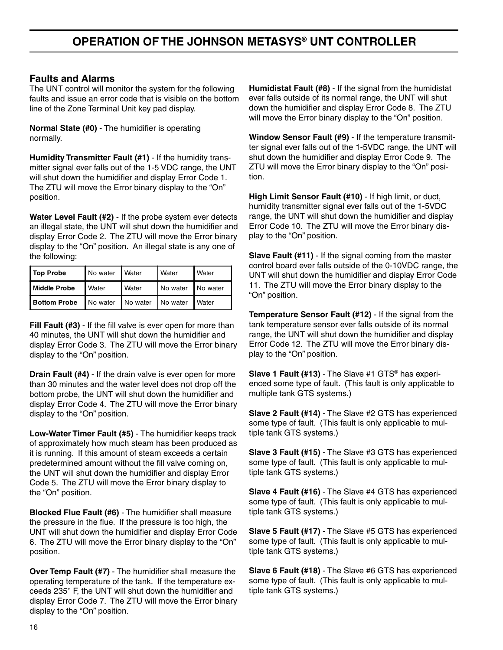#### **Faults and Alarms**

The UNT control will monitor the system for the following faults and issue an error code that is visible on the bottom line of the Zone Terminal Unit key pad display.

**Normal State (#0)** - The humidifier is operating normally.

**Humidity Transmitter Fault (#1)** - If the humidity transmitter signal ever falls out of the 1-5 VDC range, the UNT will shut down the humidifier and display Error Code 1. The ZTU will move the Error binary display to the "On" position.

**Water Level Fault (#2)** - If the probe system ever detects an illegal state, the UNT will shut down the humidifier and display Error Code 2. The ZTU will move the Error binary display to the "On" position. An illegal state is any one of the following:

| No water Water<br>Top Probe |                            |              | Water               | <b>Nater</b> |
|-----------------------------|----------------------------|--------------|---------------------|--------------|
| <b>Middle Probe</b>         | <b>Nater</b>               | <b>Water</b> | No water   No water |              |
| <b>Bottom Probe</b>         | No water No water No water |              |                     | I Water      |

**Fill Fault (#3)** - If the fill valve is ever open for more than 40 minutes, the UNT will shut down the humidifier and display Error Code 3. The ZTU will move the Error binary display to the "On" position.

**Drain Fault (#4)** - If the drain valve is ever open for more than 30 minutes and the water level does not drop off the bottom probe, the UNT will shut down the humidifier and display Error Code 4. The ZTU will move the Error binary display to the "On" position.

**Low-Water Timer Fault (#5)** - The humidifier keeps track of approximately how much steam has been produced as it is running. If this amount of steam exceeds a certain predetermined amount without the fill valve coming on, the UNT will shut down the humidifier and display Error Code 5. The ZTU will move the Error binary display to the "On" position.

**Blocked Flue Fault (#6)** - The humidifier shall measure the pressure in the flue. If the pressure is too high, the UNT will shut down the humidifier and display Error Code 6. The ZTU will move the Error binary display to the "On" position.

**Over Temp Fault (#7)** - The humidifier shall measure the operating temperature of the tank. If the temperature exceeds 235° F, the UNT will shut down the humidifier and display Error Code 7. The ZTU will move the Error binary display to the "On" position.

**Humidistat Fault (#8)** - If the signal from the humidistat ever falls outside of its normal range, the UNT will shut down the humidifier and display Error Code 8. The ZTU will move the Error binary display to the "On" position.

**Window Sensor Fault (#9)** - If the temperature transmitter signal ever falls out of the 1-5VDC range, the UNT will shut down the humidifier and display Error Code 9. The ZTU will move the Error binary display to the "On" position.

**High Limit Sensor Fault (#10)** - If high limit, or duct, humidity transmitter signal ever falls out of the 1-5VDC range, the UNT will shut down the humidifier and display Error Code 10. The ZTU will move the Error binary display to the "On" position.

**Slave Fault (#11)** - If the signal coming from the master control board ever falls outside of the 0-10VDC range, the UNT will shut down the humidifier and display Error Code 11. The ZTU will move the Error binary display to the "On" position.

**Temperature Sensor Fault (#12)** - If the signal from the tank temperature sensor ever falls outside of its normal range, the UNT will shut down the humidifier and display Error Code 12. The ZTU will move the Error binary display to the "On" position.

**Slave 1 Fault (#13)** - The Slave #1 GTS® has experienced some type of fault. (This fault is only applicable to multiple tank GTS systems.)

**Slave 2 Fault (#14)** - The Slave #2 GTS has experienced some type of fault. (This fault is only applicable to multiple tank GTS systems.)

**Slave 3 Fault (#15)** - The Slave #3 GTS has experienced some type of fault. (This fault is only applicable to multiple tank GTS systems.)

**Slave 4 Fault (#16)** - The Slave #4 GTS has experienced some type of fault. (This fault is only applicable to multiple tank GTS systems.)

**Slave 5 Fault (#17)** - The Slave #5 GTS has experienced some type of fault. (This fault is only applicable to multiple tank GTS systems.)

**Slave 6 Fault (#18)** - The Slave #6 GTS has experienced some type of fault. (This fault is only applicable to multiple tank GTS systems.)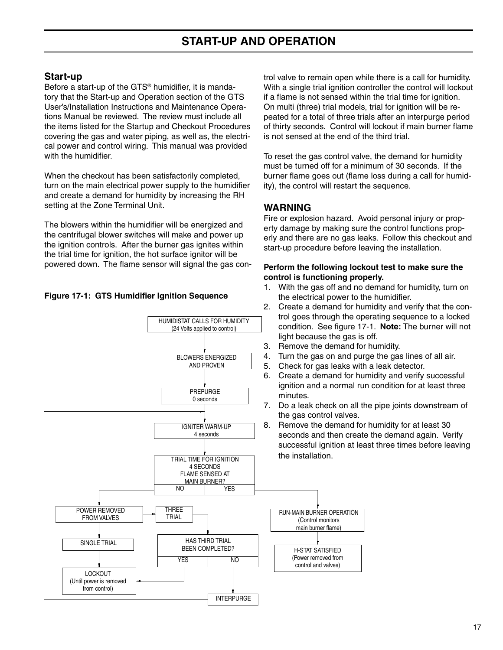## **Start-up**

Before a start-up of the GTS® humidifier, it is mandatory that the Start-up and Operation section of the GTS User's/Installation Instructions and Maintenance Operations Manual be reviewed. The review must include all the items listed for the Startup and Checkout Procedures covering the gas and water piping, as well as, the electrical power and control wiring. This manual was provided with the humidifier.

When the checkout has been satisfactorily completed, turn on the main electrical power supply to the humidifier and create a demand for humidity by increasing the RH setting at the Zone Terminal Unit.

The blowers within the humidifier will be energized and the centrifugal blower switches will make and power up the ignition controls. After the burner gas ignites within the trial time for ignition, the hot surface ignitor will be powered down. The flame sensor will signal the gas con-

#### **Figure 17-1: GTS Humidifier Ignition Sequence**

trol valve to remain open while there is a call for humidity. With a single trial ignition controller the control will lockout if a flame is not sensed within the trial time for ignition. On multi (three) trial models, trial for ignition will be repeated for a total of three trials after an interpurge period of thirty seconds. Control will lockout if main burner flame is not sensed at the end of the third trial.

To reset the gas control valve, the demand for humidity must be turned off for a minimum of 30 seconds. If the burner flame goes out (flame loss during a call for humidity), the control will restart the sequence.

#### **WARNING**

Fire or explosion hazard. Avoid personal injury or property damage by making sure the control functions properly and there are no gas leaks. Follow this checkout and start-up procedure before leaving the installation.

#### **Perform the following lockout test to make sure the control is functioning properly.**

- 1. With the gas off and no demand for humidity, turn on the electrical power to the humidifier.
- 2. Create a demand for humidity and verify that the control goes through the operating sequence to a locked condition. See figure 17-1. **Note:** The burner will not light because the gas is off.
- 3. Remove the demand for humidity.
- 4. Turn the gas on and purge the gas lines of all air.
- 5. Check for gas leaks with a leak detector.
- 6. Create a demand for humidity and verify successful ignition and a normal run condition for at least three minutes.
- 7. Do a leak check on all the pipe joints downstream of the gas control valves.
- 8. Remove the demand for humidity for at least 30 seconds and then create the demand again. Verify successful ignition at least three times before leaving the installation.



HUMIDISTAT CALLS FOR HUMIDITY (24 Volts applied to control)

> BLOWERS ENERGIZED AND PROVEN

> > **PREPURGE** 0 seconds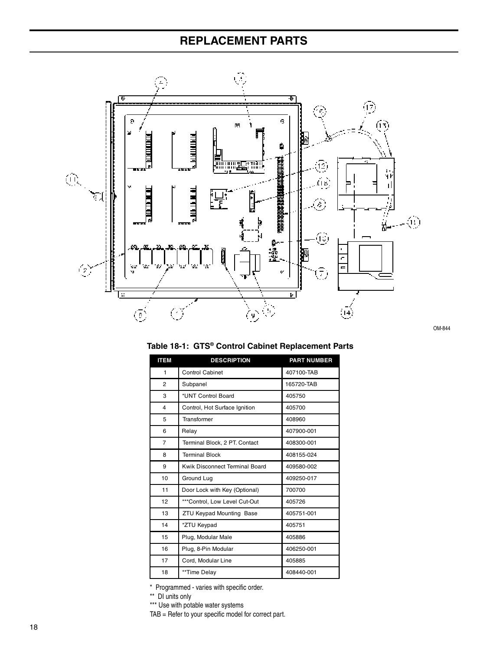# **REPLACEMENT PARTS**



OM-844

| <b>ITEM</b>    | <b>DESCRIPTION</b>              | <b>PART NUMBER</b> |
|----------------|---------------------------------|--------------------|
| 1              | <b>Control Cabinet</b>          | 407100-TAB         |
| $\overline{2}$ | Subpanel                        | 165720-TAB         |
| 3              | *UNT Control Board              | 405750             |
| $\overline{4}$ | Control, Hot Surface Ignition   | 405700             |
| 5              | Transformer                     | 408960             |
| 6              | Relay                           | 407900-001         |
| $\overline{7}$ | Terminal Block, 2 PT. Contact   | 408300-001         |
| 8              | <b>Terminal Block</b>           | 408155-024         |
| 9              | Kwik Disconnect Terminal Board  | 409580-002         |
| 10             | Ground Lug                      | 409250-017         |
| 11             | Door Lock with Key (Optional)   | 700700             |
| 12             | ***Control, Low Level Cut-Out   | 405726             |
| 13             | <b>ZTU Keypad Mounting Base</b> | 405751-001         |
| 14             | *ZTU Keypad                     | 405751             |
| 15             | Plug, Modular Male              | 405886             |
| 16             | Plug, 8-Pin Modular             | 406250-001         |
| 17             | Cord, Modular Line              | 405885             |
| 18             | **Time Delay                    | 408440-001         |

#### **Table 18-1: GTS® Control Cabinet Replacement Parts**

\* Programmed - varies with specific order.

\*\* DI units only

\*\*\* Use with potable water systems

TAB = Refer to your specific model for correct part.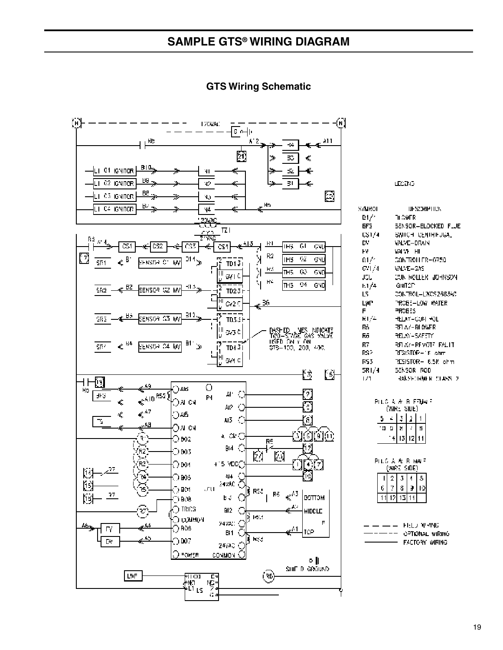

#### **GTS Wiring Schematic**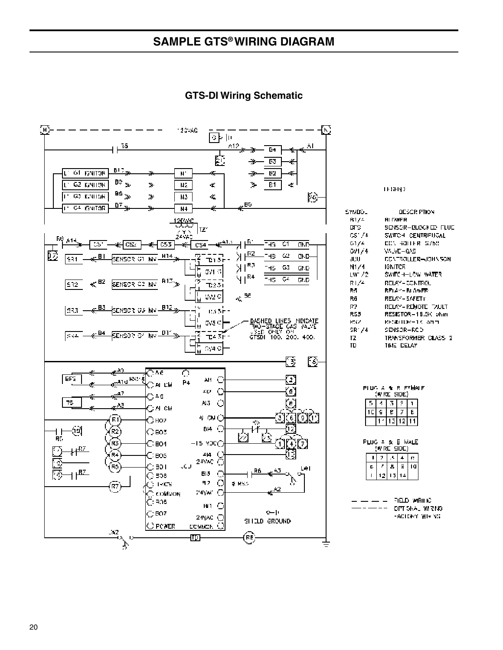**GTS-DI Wiring Schematic**



**TEGHA)** 

| maDo.   | OESCR PTION         |
|---------|---------------------|
| B1/≟    | <b>RI LWER</b>      |
| ம⊤ு     | SENSOR-BLOCKED FLUE |
| CS1/4   | SWITCH CENTRIFUGAL  |
| G1/4    | CONTROLLER S750     |
| GV1/4   | WUVE-GAS            |
| JUIJ    | CCATEQLLER=JOHNSON  |
| N1/4    | IGNITCR             |
| LW /2 . | SWITCH-LOW WATER    |
| RI/4    | RELAY - CONTROL     |
| B.S.    | BELA≃– BLOWER:      |
| Rā      | RELAY – SAFETY      |
| R7.     | RELAY-REMOTE TAULT  |
| RS3     | RESISTOR-16.5K phm  |
| PSV.    | BH3M3L0W−1K ahm     |
| SR1/4   | SENSOR-ROD          |
| īΖ      | TRANSFORMER CLASS 2 |
| τn      | TIME DELAY          |

| PLUG A & E FFMALE<br>(WIRE SIDE) |  |  |  |  |  |
|----------------------------------|--|--|--|--|--|
|                                  |  |  |  |  |  |
|                                  |  |  |  |  |  |
|                                  |  |  |  |  |  |

| ≞ & E MALE<br>Ршû<br>5 Y R<br>DC)<br>E SH |  |   |  |    |
|-------------------------------------------|--|---|--|----|
|                                           |  |   |  | Ľ. |
| ۵                                         |  | ۵ |  |    |
|                                           |  |   |  |    |
|                                           |  |   |  |    |

| 印印D 酒刚 IC        |
|------------------|
| OPT SNAL IMIRING |
| -ACTORY INTERNE  |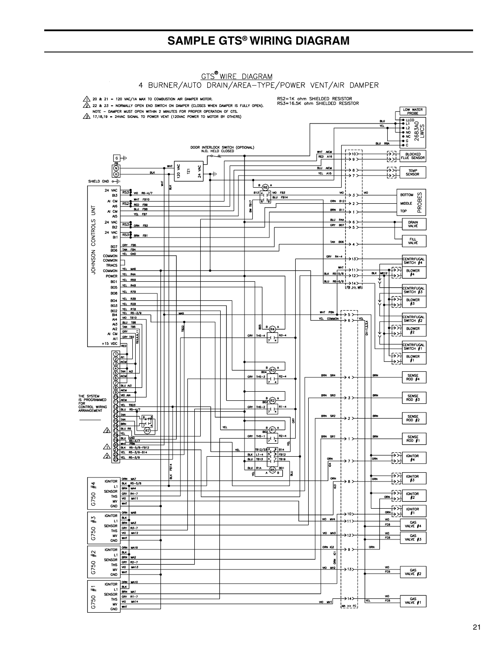

# **GTS<sup>®</sup> WIRE DIAGRAM**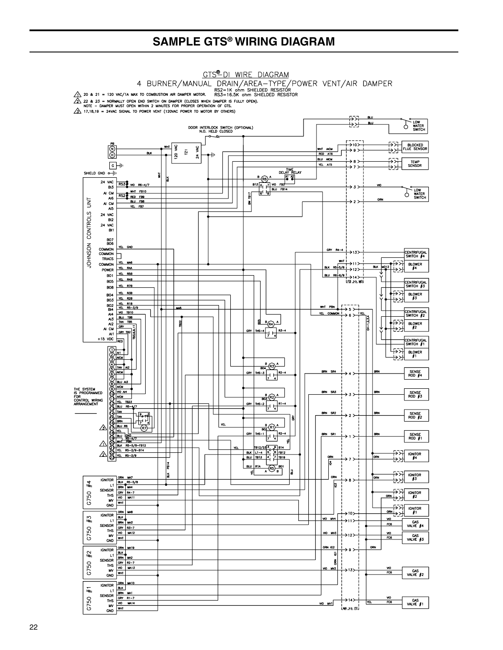#### **GTS<sup>®</sup>DI WIRE DIAGRAM**

4 BURNER/MANUAL DRAIN/AREA-TYPE/POWER VENT/AIR DAMPER<br>A 20 & 21 = 120 VAC/1A MAX TO COMBUSTION AIR DAMPER MOTOR. RS2=1K on the SHIELDED RESISTOR

 $\overbrace{22}$  22 & 23 = NORMALLY OPEN END SWITCH ON DAMPER (CLOSES WHEN DAMPER IS FULLY OPEN).<br>NOTE - DAMPER MUST OPEN WITHIN 2 MINUTES FOR PROPER OPERATION OF GTS.<br> $\overline{33}$  17,18,19 = 24VAC SIGNAL TO POWER VENT (120VAC POWE

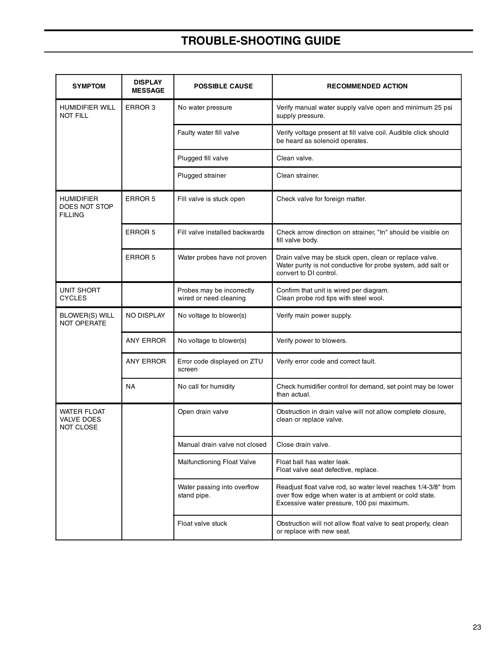# **TROUBLE-SHOOTING GUIDE**

| <b>SYMPTOM</b>                                       | <b>DISPLAY</b><br><b>MESSAGE</b> | <b>POSSIBLE CAUSE</b>                               | <b>RECOMMENDED ACTION</b>                                                                                                                                              |
|------------------------------------------------------|----------------------------------|-----------------------------------------------------|------------------------------------------------------------------------------------------------------------------------------------------------------------------------|
| <b>HUMIDIFIER WILL</b><br><b>NOT FILL</b>            | ERROR <sub>3</sub>               | No water pressure                                   | Verify manual water supply valve open and minimum 25 psi<br>supply pressure.                                                                                           |
|                                                      |                                  | Faulty water fill valve                             | Verify voltage present at fill valve coil. Audible click should<br>be heard as solenoid operates.                                                                      |
|                                                      |                                  | Plugged fill valve                                  | Clean valve.                                                                                                                                                           |
|                                                      |                                  | Plugged strainer                                    | Clean strainer.                                                                                                                                                        |
| <b>HUMIDIFIER</b><br>DOES NOT STOP<br><b>FILLING</b> | ERROR 5                          | Fill valve is stuck open                            | Check valve for foreign matter.                                                                                                                                        |
|                                                      | ERROR 5                          | Fill valve installed backwards                      | Check arrow direction on strainer, "In" should be visible on<br>fill valve body.                                                                                       |
|                                                      | ERROR 5                          | Water probes have not proven                        | Drain valve may be stuck open, clean or replace valve.<br>Water purity is not conductive for probe system, add salt or<br>convert to DI control.                       |
| UNIT SHORT<br><b>CYCLES</b>                          |                                  | Probes may be incorrectly<br>wired or need cleaning | Confirm that unit is wired per diagram.<br>Clean probe rod tips with steel wool.                                                                                       |
| <b>BLOWER(S) WILL</b><br>NOT OPERATE                 | NO DISPLAY                       | No voltage to blower(s)                             | Verify main power supply.                                                                                                                                              |
|                                                      | <b>ANY ERROR</b>                 | No voltage to blower(s)                             | Verify power to blowers.                                                                                                                                               |
|                                                      | <b>ANY ERROR</b>                 | Error code displayed on ZTU<br>screen               | Verify error code and correct fault.                                                                                                                                   |
|                                                      | <b>NA</b>                        | No call for humidity                                | Check humidifier control for demand, set point may be lower<br>than actual.                                                                                            |
| <b>WATER FLOAT</b><br>VALVE DOES<br><b>NOT CLOSE</b> |                                  | Open drain valve                                    | Obstruction in drain valve will not allow complete closure,<br>clean or replace valve.                                                                                 |
|                                                      |                                  | Manual drain valve not closed                       | Close drain valve.                                                                                                                                                     |
|                                                      |                                  | <b>Malfunctioning Float Valve</b>                   | Float ball has water leak.<br>Float valve seat defective, replace.                                                                                                     |
|                                                      |                                  | Water passing into overflow<br>stand pipe.          | Readjust float valve rod, so water level reaches 1/4-3/8" from<br>over flow edge when water is at ambient or cold state.<br>Excessive water pressure, 100 psi maximum. |
|                                                      |                                  | Float valve stuck                                   | Obstruction will not allow float valve to seat properly, clean<br>or replace with new seat.                                                                            |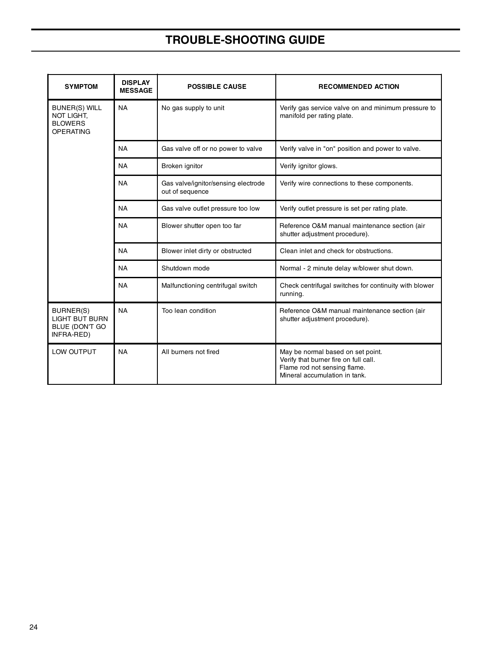# **TROUBLE-SHOOTING GUIDE**

| <b>SYMPTOM</b>                                                           | <b>DISPLAY</b><br><b>MESSAGE</b>                                                          | <b>POSSIBLE CAUSE</b>                                  | <b>RECOMMENDED ACTION</b>                                                                                                                   |
|--------------------------------------------------------------------------|-------------------------------------------------------------------------------------------|--------------------------------------------------------|---------------------------------------------------------------------------------------------------------------------------------------------|
| <b>BUNER(S) WILL</b><br>NOT LIGHT,<br><b>BLOWERS</b><br><b>OPERATING</b> | <b>NA</b>                                                                                 | No gas supply to unit                                  | Verify gas service valve on and minimum pressure to<br>manifold per rating plate.                                                           |
|                                                                          | <b>NA</b>                                                                                 | Gas valve off or no power to valve                     | Verify valve in "on" position and power to valve.                                                                                           |
|                                                                          | <b>NA</b>                                                                                 | Broken ignitor                                         | Verify ignitor glows.                                                                                                                       |
|                                                                          | <b>NA</b>                                                                                 | Gas valve/ignitor/sensing electrode<br>out of sequence | Verify wire connections to these components.                                                                                                |
|                                                                          | <b>NA</b>                                                                                 | Gas valve outlet pressure too low                      | Verify outlet pressure is set per rating plate.                                                                                             |
|                                                                          | <b>NA</b><br>Blower shutter open too far<br><b>NA</b><br>Blower inlet dirty or obstructed |                                                        | Reference O&M manual maintenance section (air<br>shutter adjustment procedure).                                                             |
|                                                                          |                                                                                           |                                                        | Clean inlet and check for obstructions.                                                                                                     |
|                                                                          | <b>NA</b>                                                                                 | Shutdown mode                                          | Normal - 2 minute delay w/blower shut down.                                                                                                 |
|                                                                          | <b>NA</b>                                                                                 | Malfunctioning centrifugal switch                      | Check centrifugal switches for continuity with blower<br>running.                                                                           |
| BURNER(S)<br><b>LIGHT BUT BURN</b><br>BLUE (DON'T GO<br>INFRA-RED)       | <b>NA</b>                                                                                 | Too lean condition                                     | Reference O&M manual maintenance section (air<br>shutter adjustment procedure).                                                             |
| LOW OUTPUT                                                               | <b>NA</b>                                                                                 | All burners not fired                                  | May be normal based on set point.<br>Verify that burner fire on full call.<br>Flame rod not sensing flame.<br>Mineral accumulation in tank. |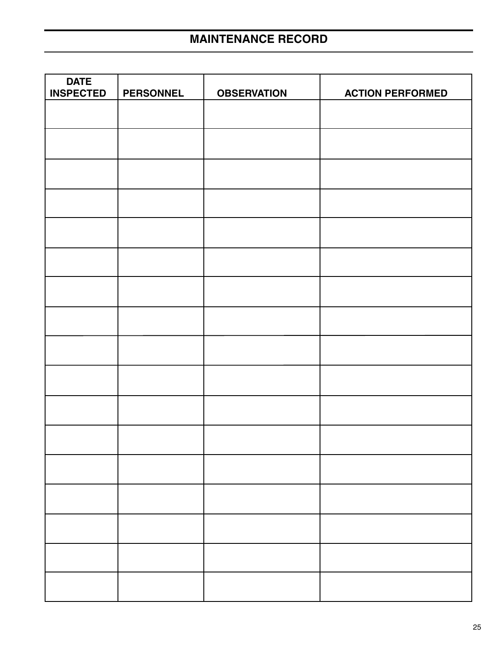| <b>DATE</b><br><b>INSPECTED</b> | <b>PERSONNEL</b> | <b>OBSERVATION</b> | <b>ACTION PERFORMED</b> |
|---------------------------------|------------------|--------------------|-------------------------|
|                                 |                  |                    |                         |
|                                 |                  |                    |                         |
|                                 |                  |                    |                         |
|                                 |                  |                    |                         |
|                                 |                  |                    |                         |
|                                 |                  |                    |                         |
|                                 |                  |                    |                         |
|                                 |                  |                    |                         |
|                                 |                  |                    |                         |
|                                 |                  |                    |                         |
|                                 |                  |                    |                         |
|                                 |                  |                    |                         |
|                                 |                  |                    |                         |
|                                 |                  |                    |                         |
|                                 |                  |                    |                         |
|                                 |                  |                    |                         |
|                                 |                  |                    |                         |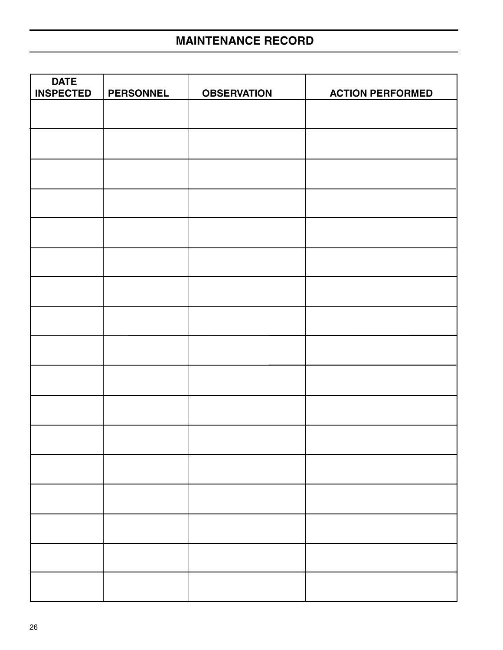# **MAINTENANCE RECORD**

| <b>DATE</b><br><b>INSPECTED</b> | <b>PERSONNEL</b> | <b>OBSERVATION</b> | <b>ACTION PERFORMED</b> |
|---------------------------------|------------------|--------------------|-------------------------|
|                                 |                  |                    |                         |
|                                 |                  |                    |                         |
|                                 |                  |                    |                         |
|                                 |                  |                    |                         |
|                                 |                  |                    |                         |
|                                 |                  |                    |                         |
|                                 |                  |                    |                         |
|                                 |                  |                    |                         |
|                                 |                  |                    |                         |
|                                 |                  |                    |                         |
|                                 |                  |                    |                         |
|                                 |                  |                    |                         |
|                                 |                  |                    |                         |
|                                 |                  |                    |                         |
|                                 |                  |                    |                         |
|                                 |                  |                    |                         |
|                                 |                  |                    |                         |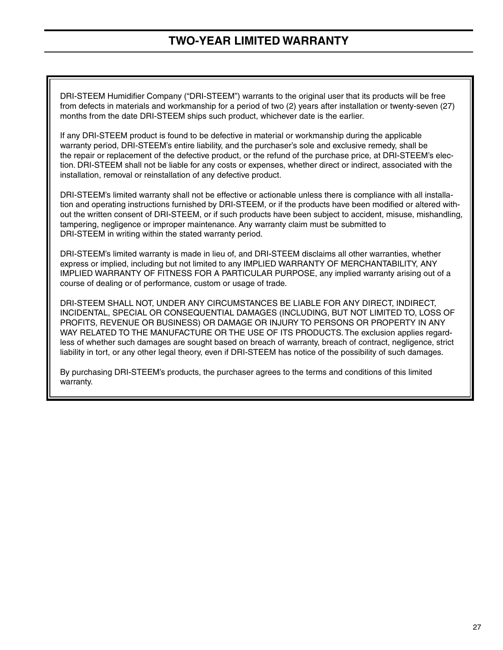## **TWO-YEAR LIMITED WARRANTY**

DRI-STEEM Humidifier Company ("DRI-STEEM") warrants to the original user that its products will be free from defects in materials and workmanship for a period of two (2) years after installation or twenty-seven (27) months from the date DRI-STEEM ships such product, whichever date is the earlier.

If any DRI-STEEM product is found to be defective in material or workmanship during the applicable warranty period, DRI-STEEM's entire liability, and the purchaser's sole and exclusive remedy, shall be the repair or replacement of the defective product, or the refund of the purchase price, at DRI-STEEM's election. DRI-STEEM shall not be liable for any costs or expenses, whether direct or indirect, associated with the installation, removal or reinstallation of any defective product.

DRI-STEEM's limited warranty shall not be effective or actionable unless there is compliance with all installation and operating instructions furnished by DRI-STEEM, or if the products have been modified or altered without the written consent of DRI-STEEM, or if such products have been subject to accident, misuse, mishandling, tampering, negligence or improper maintenance. Any warranty claim must be submitted to DRI-STEEM in writing within the stated warranty period.

DRI-STEEM's limited warranty is made in lieu of, and DRI-STEEM disclaims all other warranties, whether express or implied, including but not limited to any IMPLIED WARRANTY OF MERCHANTABILITY, ANY IMPLIED WARRANTY OF FITNESS FOR A PARTICULAR PURPOSE, any implied warranty arising out of a course of dealing or of performance, custom or usage of trade.

DRI-STEEM SHALL NOT, UNDER ANY CIRCUMSTANCES BE LIABLE FOR ANY DIRECT, INDIRECT, INCIDENTAL, SPECIAL OR CONSEQUENTIAL DAMAGES (INCLUDING, BUT NOT LIMITED TO, LOSS OF PROFITS, REVENUE OR BUSINESS) OR DAMAGE OR INJURY TO PERSONS OR PROPERTY IN ANY WAY RELATED TO THE MANUFACTURE OR THE USE OF ITS PRODUCTS. The exclusion applies regardless of whether such damages are sought based on breach of warranty, breach of contract, negligence, strict liability in tort, or any other legal theory, even if DRI-STEEM has notice of the possibility of such damages.

By purchasing DRI-STEEM's products, the purchaser agrees to the terms and conditions of this limited warranty.